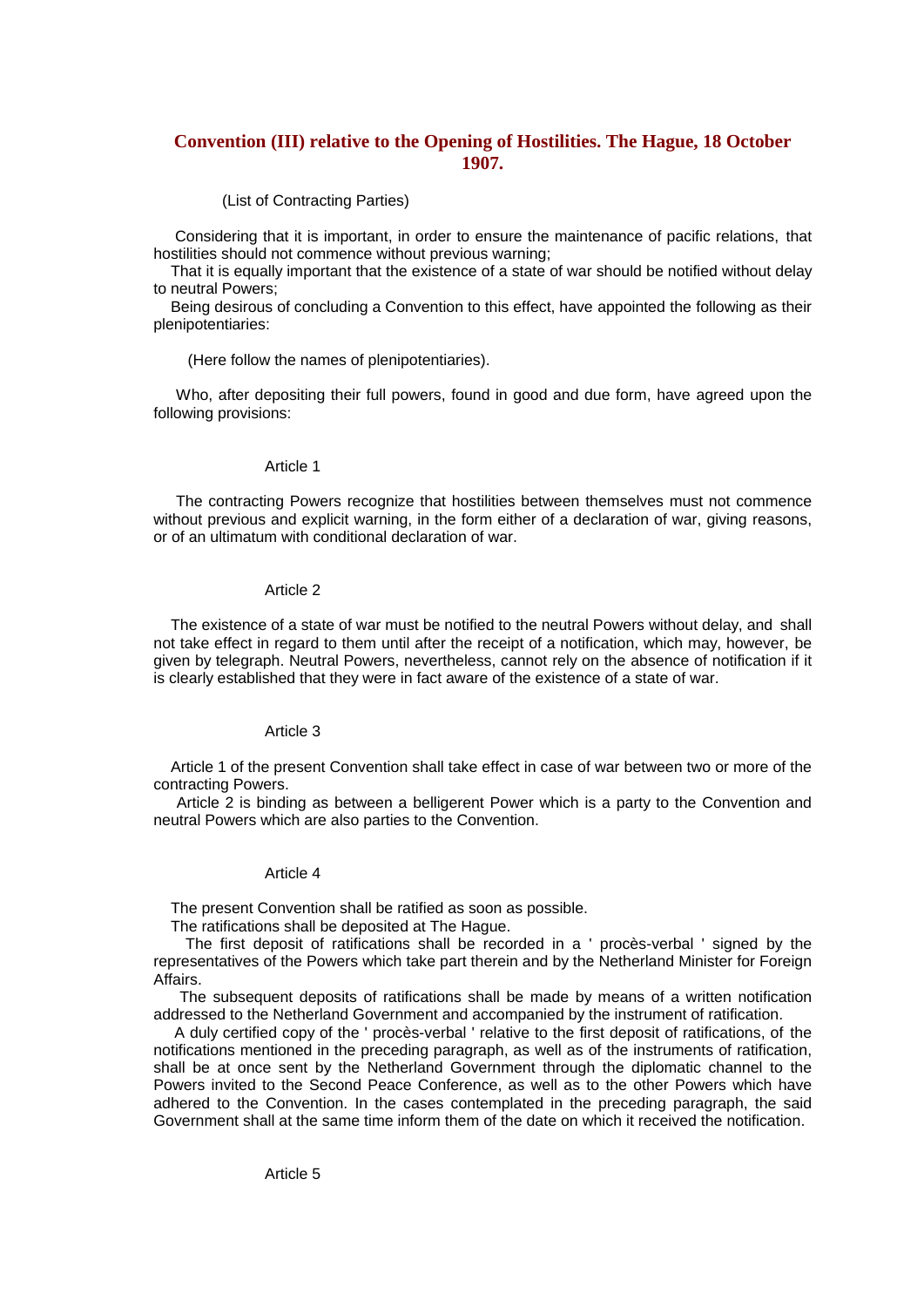# **Convention (III) relative to the Opening of Hostilities. The Hague, 18 October 1907.**

(List of Contracting Parties)

Considering that it is important, in order to ensure the maintenance of pacific relations, that hostilities should not commence without previous warning;

That it is equally important that the existence of a state of war should be notified without delay to neutral Powers;

Being desirous of concluding a Convention to this effect, have appointed the following as their plenipotentiaries:

(Here follow the names of plenipotentiaries).

Who, after depositing their full powers, found in good and due form, have agreed upon the following provisions:

### Article 1

The contracting Powers recognize that hostilities between themselves must not commence without previous and explicit warning, in the form either of a declaration of war, giving reasons, or of an ultimatum with conditional declaration of war.

## Article 2

The existence of a state of war must be notified to the neutral Powers without delay, and shall not take effect in regard to them until after the receipt of a notification, which may, however, be given by telegraph. Neutral Powers, nevertheless, cannot rely on the absence of notification if it is clearly established that they were in fact aware of the existence of a state of war.

### Article 3

Article 1 of the present Convention shall take effect in case of war between two or more of the contracting Powers.

Article 2 is binding as between a belligerent Power which is a party to the Convention and neutral Powers which are also parties to the Convention.

# Article 4

The present Convention shall be ratified as soon as possible.

The ratifications shall be deposited at The Hague.

The first deposit of ratifications shall be recorded in a ' procès-verbal ' signed by the representatives of the Powers which take part therein and by the Netherland Minister for Foreign Affairs.

The subsequent deposits of ratifications shall be made by means of a written notification addressed to the Netherland Government and accompanied by the instrument of ratification.

A duly certified copy of the ' procès-verbal ' relative to the first deposit of ratifications, of the notifications mentioned in the preceding paragraph, as well as of the instruments of ratification, shall be at once sent by the Netherland Government through the diplomatic channel to the Powers invited to the Second Peace Conference, as well as to the other Powers which have adhered to the Convention. In the cases contemplated in the preceding paragraph, the said Government shall at the same time inform them of the date on which it received the notification.